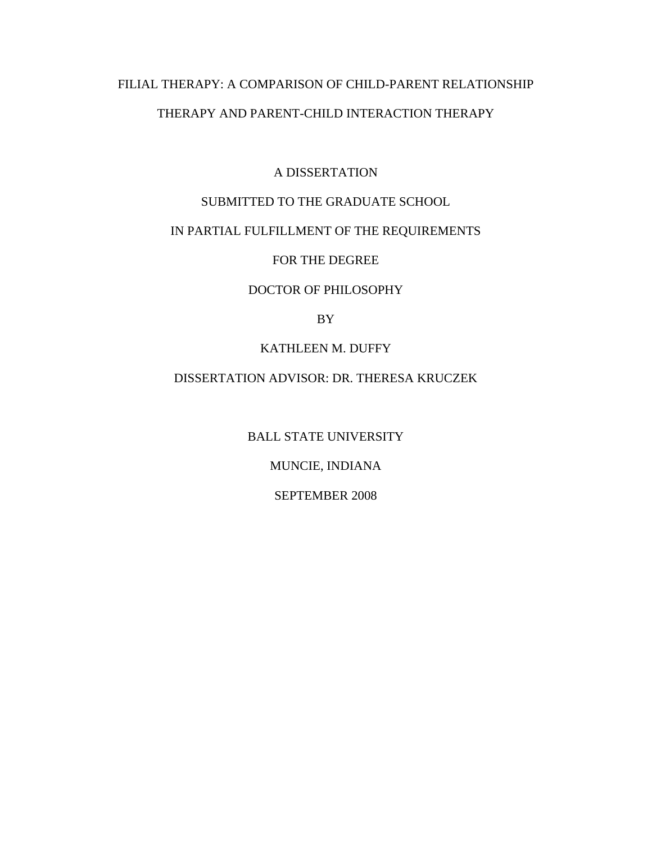# FILIAL THERAPY: A COMPARISON OF CHILD-PARENT RELATIONSHIP THERAPY AND PARENT-CHILD INTERACTION THERAPY

A DISSERTATION

# SUBMITTED TO THE GRADUATE SCHOOL

# IN PARTIAL FULFILLMENT OF THE REQUIREMENTS

FOR THE DEGREE

### DOCTOR OF PHILOSOPHY

BY

KATHLEEN M. DUFFY

# DISSERTATION ADVISOR: DR. THERESA KRUCZEK

BALL STATE UNIVERSITY MUNCIE, INDIANA SEPTEMBER 2008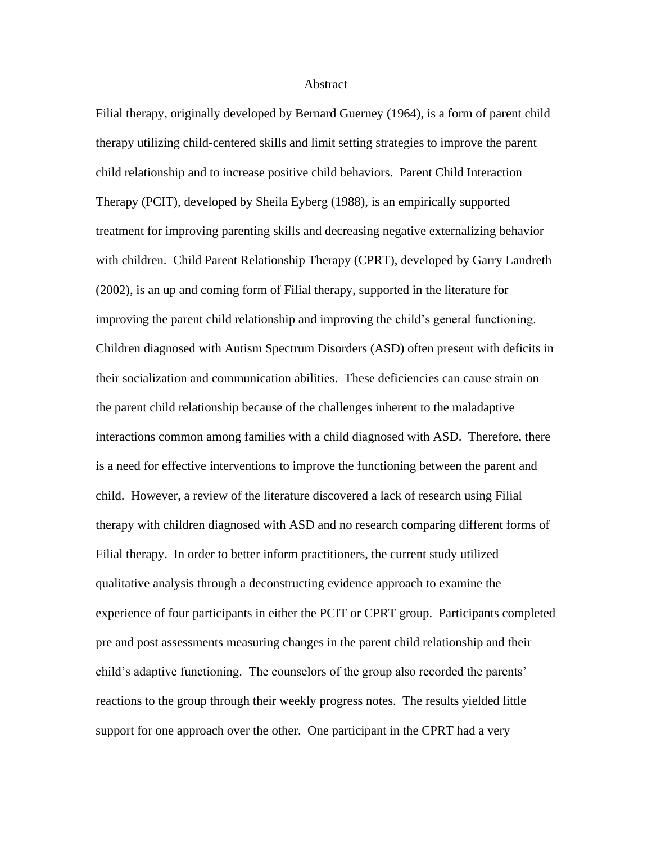#### Abstract

Filial therapy, originally developed by Bernard Guerney (1964), is a form of parent child therapy utilizing child-centered skills and limit setting strategies to improve the parent child relationship and to increase positive child behaviors. Parent Child Interaction Therapy (PCIT), developed by Sheila Eyberg (1988), is an empirically supported treatment for improving parenting skills and decreasing negative externalizing behavior with children. Child Parent Relationship Therapy (CPRT), developed by Garry Landreth (2002), is an up and coming form of Filial therapy, supported in the literature for improving the parent child relationship and improving the child's general functioning. Children diagnosed with Autism Spectrum Disorders (ASD) often present with deficits in their socialization and communication abilities. These deficiencies can cause strain on the parent child relationship because of the challenges inherent to the maladaptive interactions common among families with a child diagnosed with ASD. Therefore, there is a need for effective interventions to improve the functioning between the parent and child. However, a review of the literature discovered a lack of research using Filial therapy with children diagnosed with ASD and no research comparing different forms of Filial therapy. In order to better inform practitioners, the current study utilized qualitative analysis through a deconstructing evidence approach to examine the experience of four participants in either the PCIT or CPRT group. Participants completed pre and post assessments measuring changes in the parent child relationship and their child's adaptive functioning. The counselors of the group also recorded the parents' reactions to the group through their weekly progress notes. The results yielded little support for one approach over the other. One participant in the CPRT had a very